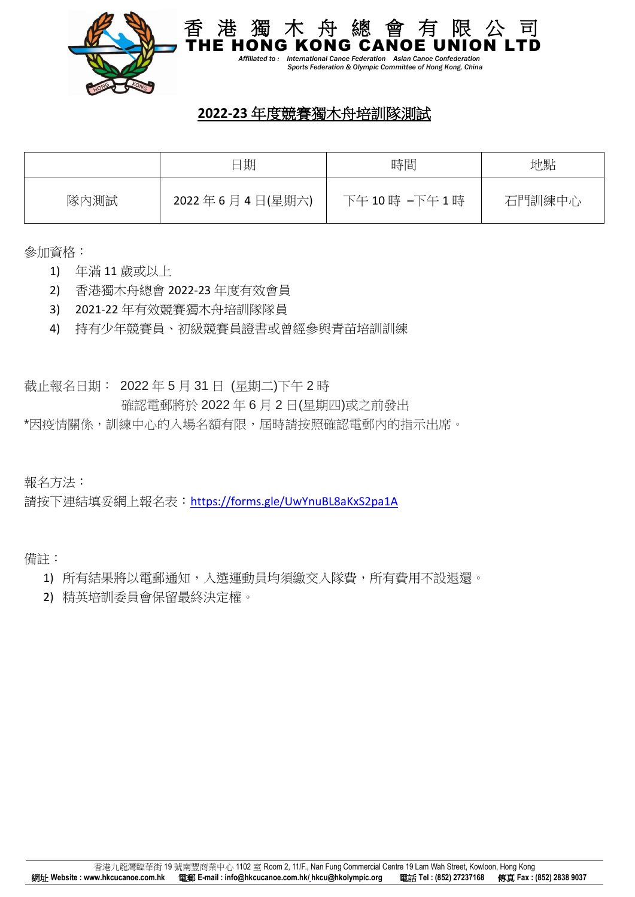

 *Affiliated to : International Canoe Federation Asian Canoe Confederation Sports Federation & Olympic Committee of Hong Kong, China*

香 港 獨 木 舟 總 會 有 限 公 司

## **2022-23** 年度競賽獨木舟培訓隊測試

|      | 日期             | 時間         | 地點     |
|------|----------------|------------|--------|
| 隊內測試 | 2022年6月4日(星期六) | 下午10時-下午1時 | 石門訓練中心 |

參加資格:

- 1) 年滿 11 歲或以上
- 2) 香港獨木舟總會 2022-23 年度有效會員
- 3) 2021-22 年有效競賽獨木舟培訓隊隊員
- 4) 持有少年競賽員、初級競賽員證書或曾經參與青苗培訓訓練

截止報名日期: 2022 年 5 月 31 日 (星期二)下午 2 時

確認電郵將於 2022 年 6 月 2 日(星期四)或之前發出

\*因疫情關係,訓練中心的入場名額有限,屆時請按照確認電郵內的指示出席。

報名方法:

請按下連結填妥網上報名表:<https://forms.gle/UwYnuBL8aKxS2pa1A>

備註:

- 1) 所有結果將以電郵通知,入選運動員均須繳交入隊費,所有費用不設退還。
- 2) 精英培訓委員會保留最終決定權。